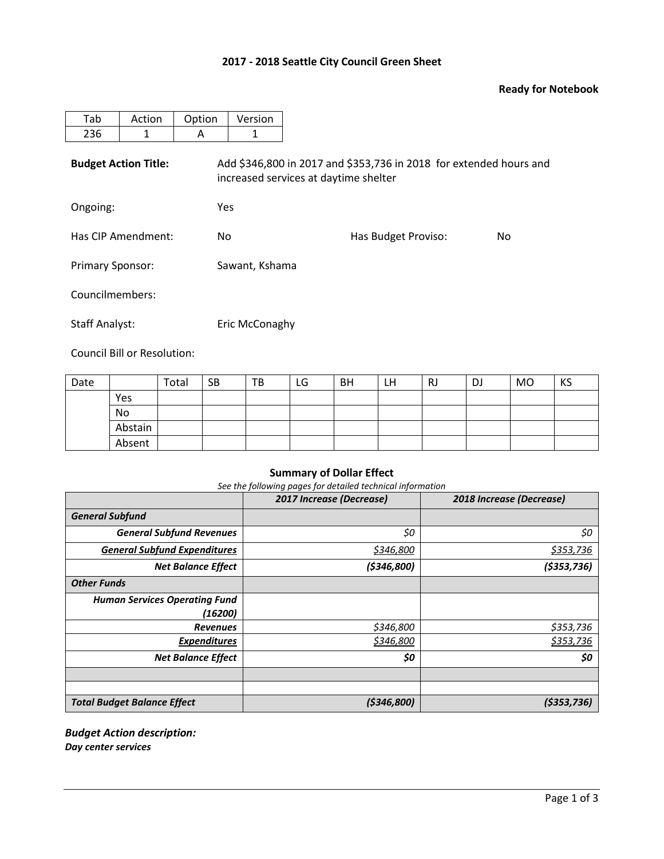# **2017 - 2018 Seattle City Council Green Sheet**

## **Ready for Notebook**

| Tab                         | Action | Option | Version                                                                                                     |  |  |  |  |  |  |
|-----------------------------|--------|--------|-------------------------------------------------------------------------------------------------------------|--|--|--|--|--|--|
| 236                         | 1      | A      | 1                                                                                                           |  |  |  |  |  |  |
| <b>Budget Action Title:</b> |        |        | Add \$346,800 in 2017 and \$353,736 in 2018 for extended hours and<br>increased services at daytime shelter |  |  |  |  |  |  |
| Ongoing:                    |        |        | Yes                                                                                                         |  |  |  |  |  |  |
| Has CIP Amendment:          |        |        | Has Budget Proviso:<br>No<br>No.                                                                            |  |  |  |  |  |  |
| <b>Primary Sponsor:</b>     |        |        | Sawant, Kshama                                                                                              |  |  |  |  |  |  |
| Councilmembers:             |        |        |                                                                                                             |  |  |  |  |  |  |
| <b>Staff Analyst:</b>       |        |        | Eric McConaghy                                                                                              |  |  |  |  |  |  |

Council Bill or Resolution:

| Date |         | Total | <b>SB</b> | TB | LG | <b>BH</b> | LH | RJ | DJ | <b>MO</b> | KS |
|------|---------|-------|-----------|----|----|-----------|----|----|----|-----------|----|
|      | Yes     |       |           |    |    |           |    |    |    |           |    |
|      | No      |       |           |    |    |           |    |    |    |           |    |
|      | Abstain |       |           |    |    |           |    |    |    |           |    |
|      | Absent  |       |           |    |    |           |    |    |    |           |    |

# **Summary of Dollar Effect**

*See the following pages for detailed technical information*

|                                      | 2017 Increase (Decrease) | 2018 Increase (Decrease) |
|--------------------------------------|--------------------------|--------------------------|
| <b>General Subfund</b>               |                          |                          |
| <b>General Subfund Revenues</b>      | \$0                      | \$0                      |
| <b>General Subfund Expenditures</b>  | \$346,800                | \$353,736                |
| <b>Net Balance Effect</b>            | (5346,800)               | (5353, 736)              |
| <b>Other Funds</b>                   |                          |                          |
| <b>Human Services Operating Fund</b> |                          |                          |
| (16200)                              |                          |                          |
| <b>Revenues</b>                      | \$346,800                | \$353,736                |
| <b>Expenditures</b>                  | \$346,800                | \$353,736                |
| <b>Net Balance Effect</b>            | \$0                      | \$0                      |
|                                      |                          |                          |
|                                      |                          |                          |
| <b>Total Budget Balance Effect</b>   | ( \$346, 800]            | ( \$353, 736)            |

#### *Budget Action description: Day center services*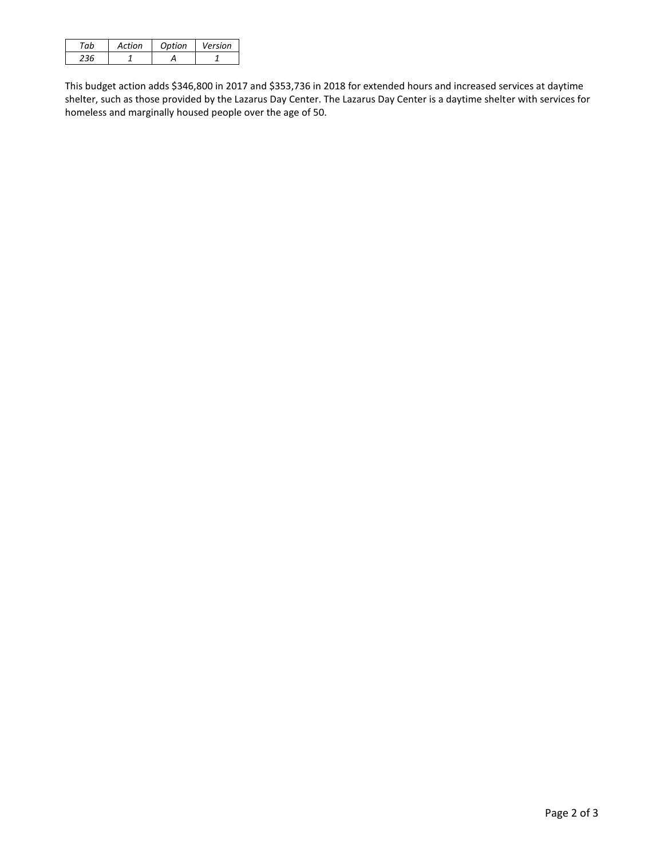| Action | Ontion | Version |
|--------|--------|---------|
|        |        |         |

This budget action adds \$346,800 in 2017 and \$353,736 in 2018 for extended hours and increased services at daytime shelter, such as those provided by the Lazarus Day Center. The Lazarus Day Center is a daytime shelter with services for homeless and marginally housed people over the age of 50.